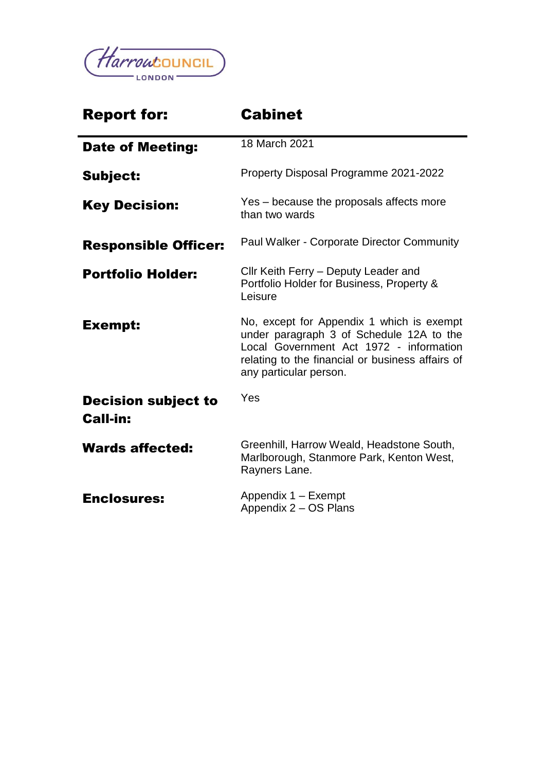

| <b>Report for:</b>                            | <b>Cabinet</b>                                                                                                                                                                                                 |  |
|-----------------------------------------------|----------------------------------------------------------------------------------------------------------------------------------------------------------------------------------------------------------------|--|
| <b>Date of Meeting:</b>                       | 18 March 2021                                                                                                                                                                                                  |  |
| <b>Subject:</b>                               | Property Disposal Programme 2021-2022                                                                                                                                                                          |  |
| <b>Key Decision:</b>                          | Yes – because the proposals affects more<br>than two wards                                                                                                                                                     |  |
| <b>Responsible Officer:</b>                   | Paul Walker - Corporate Director Community                                                                                                                                                                     |  |
| <b>Portfolio Holder:</b>                      | Cllr Keith Ferry - Deputy Leader and<br>Portfolio Holder for Business, Property &<br>Leisure                                                                                                                   |  |
| <b>Exempt:</b>                                | No, except for Appendix 1 which is exempt<br>under paragraph 3 of Schedule 12A to the<br>Local Government Act 1972 - information<br>relating to the financial or business affairs of<br>any particular person. |  |
| <b>Decision subject to</b><br><b>Call-in:</b> | Yes                                                                                                                                                                                                            |  |
| <b>Wards affected:</b>                        | Greenhill, Harrow Weald, Headstone South,<br>Marlborough, Stanmore Park, Kenton West,<br>Rayners Lane.                                                                                                         |  |
| <b>Enclosures:</b>                            | Appendix 1 - Exempt<br>Appendix 2 - OS Plans                                                                                                                                                                   |  |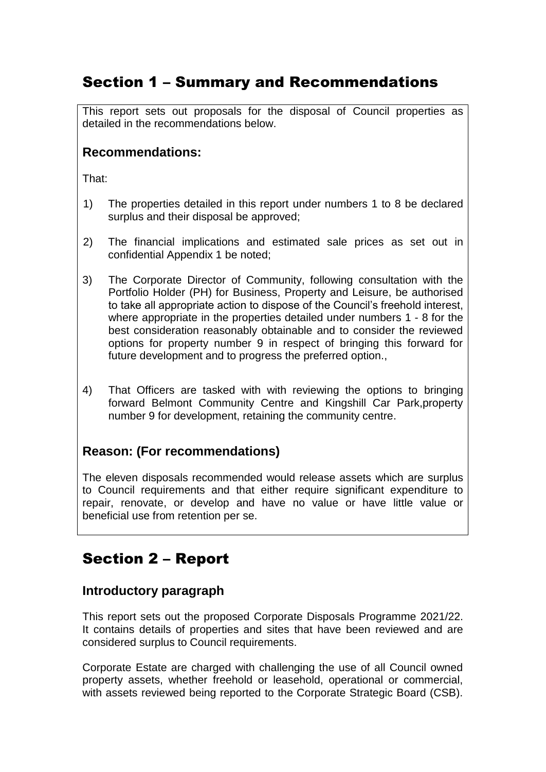# Section 1 – Summary and Recommendations

This report sets out proposals for the disposal of Council properties as detailed in the recommendations below.

### **Recommendations:**

That:

- 1) The properties detailed in this report under numbers 1 to 8 be declared surplus and their disposal be approved;
- 2) The financial implications and estimated sale prices as set out in confidential Appendix 1 be noted;
- 3) The Corporate Director of Community, following consultation with the Portfolio Holder (PH) for Business, Property and Leisure, be authorised to take all appropriate action to dispose of the Council's freehold interest, where appropriate in the properties detailed under numbers 1 - 8 for the best consideration reasonably obtainable and to consider the reviewed options for property number 9 in respect of bringing this forward for future development and to progress the preferred option.,
- 4) That Officers are tasked with with reviewing the options to bringing forward Belmont Community Centre and Kingshill Car Park,property number 9 for development, retaining the community centre.

### **Reason: (For recommendations)**

The eleven disposals recommended would release assets which are surplus to Council requirements and that either require significant expenditure to repair, renovate, or develop and have no value or have little value or beneficial use from retention per se.

# Section 2 – Report

### **Introductory paragraph**

This report sets out the proposed Corporate Disposals Programme 2021/22. It contains details of properties and sites that have been reviewed and are considered surplus to Council requirements.

Corporate Estate are charged with challenging the use of all Council owned property assets, whether freehold or leasehold, operational or commercial, with assets reviewed being reported to the Corporate Strategic Board (CSB).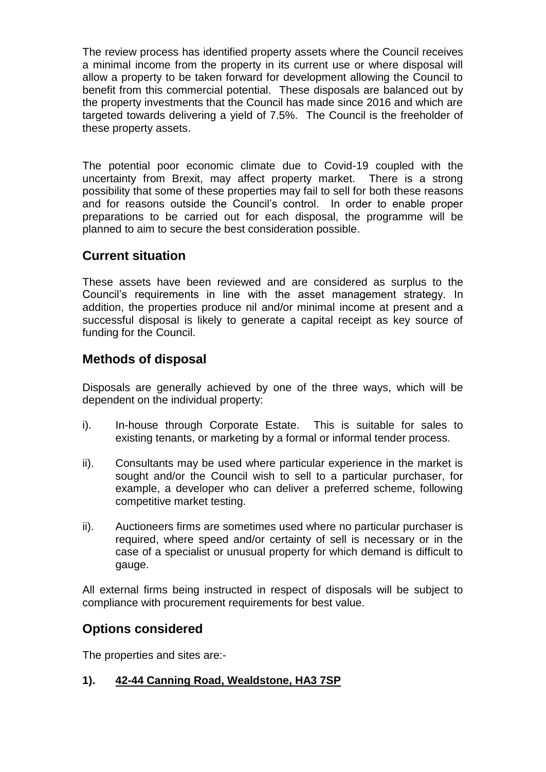The review process has identified property assets where the Council receives a minimal income from the property in its current use or where disposal will allow a property to be taken forward for development allowing the Council to benefit from this commercial potential. These disposals are balanced out by the property investments that the Council has made since 2016 and which are targeted towards delivering a yield of 7.5%. The Council is the freeholder of these property assets.

The potential poor economic climate due to Covid-19 coupled with the uncertainty from Brexit, may affect property market. There is a strong possibility that some of these properties may fail to sell for both these reasons and for reasons outside the Council's control. In order to enable proper preparations to be carried out for each disposal, the programme will be planned to aim to secure the best consideration possible.

### **Current situation**

These assets have been reviewed and are considered as surplus to the Council's requirements in line with the asset management strategy. In addition, the properties produce nil and/or minimal income at present and a successful disposal is likely to generate a capital receipt as key source of funding for the Council.

## **Methods of disposal**

Disposals are generally achieved by one of the three ways, which will be dependent on the individual property:

- i). In-house through Corporate Estate. This is suitable for sales to existing tenants, or marketing by a formal or informal tender process.
- ii). Consultants may be used where particular experience in the market is sought and/or the Council wish to sell to a particular purchaser, for example, a developer who can deliver a preferred scheme, following competitive market testing.
- ii). Auctioneers firms are sometimes used where no particular purchaser is required, where speed and/or certainty of sell is necessary or in the case of a specialist or unusual property for which demand is difficult to gauge.

All external firms being instructed in respect of disposals will be subject to compliance with procurement requirements for best value.

### **Options considered**

The properties and sites are:-

#### **1). 42-44 Canning Road, Wealdstone, HA3 7SP**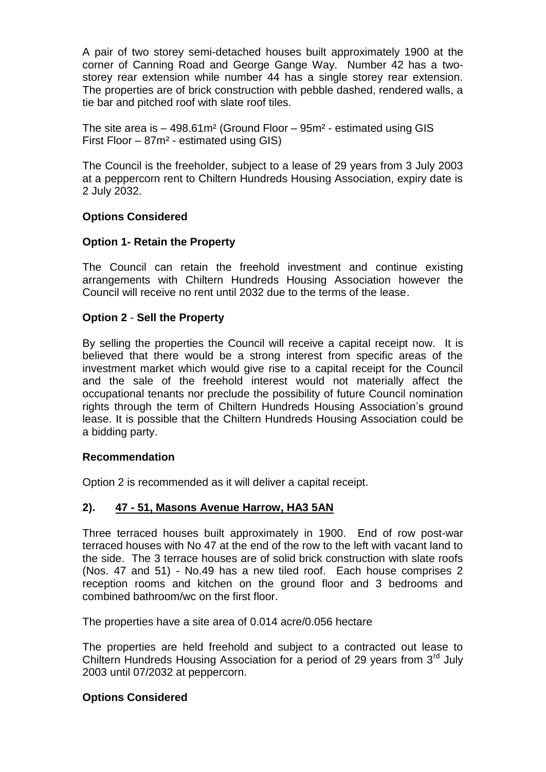A pair of two storey semi-detached houses built approximately 1900 at the corner of Canning Road and George Gange Way. Number 42 has a twostorey rear extension while number 44 has a single storey rear extension. The properties are of brick construction with pebble dashed, rendered walls, a tie bar and pitched roof with slate roof tiles.

The site area is – 498.61m² (Ground Floor – 95m² - estimated using GIS First Floor – 87m² - estimated using GIS)

The Council is the freeholder, subject to a lease of 29 years from 3 July 2003 at a peppercorn rent to Chiltern Hundreds Housing Association, expiry date is 2 July 2032.

#### **Options Considered**

#### **Option 1- Retain the Property**

The Council can retain the freehold investment and continue existing arrangements with Chiltern Hundreds Housing Association however the Council will receive no rent until 2032 due to the terms of the lease.

#### **Option 2** - **Sell the Property**

By selling the properties the Council will receive a capital receipt now. It is believed that there would be a strong interest from specific areas of the investment market which would give rise to a capital receipt for the Council and the sale of the freehold interest would not materially affect the occupational tenants nor preclude the possibility of future Council nomination rights through the term of Chiltern Hundreds Housing Association's ground lease. It is possible that the Chiltern Hundreds Housing Association could be a bidding party.

#### **Recommendation**

Option 2 is recommended as it will deliver a capital receipt.

#### **2). 47 - 51, Masons Avenue Harrow, HA3 5AN**

Three terraced houses built approximately in 1900. End of row post-war terraced houses with No 47 at the end of the row to the left with vacant land to the side. The 3 terrace houses are of solid brick construction with slate roofs (Nos. 47 and 51) - No.49 has a new tiled roof. Each house comprises 2 reception rooms and kitchen on the ground floor and 3 bedrooms and combined bathroom/wc on the first floor.

The properties have a site area of 0.014 acre/0.056 hectare

The properties are held freehold and subject to a contracted out lease to Chiltern Hundreds Housing Association for a period of 29 years from 3<sup>rd</sup> July 2003 until 07/2032 at peppercorn.

#### **Options Considered**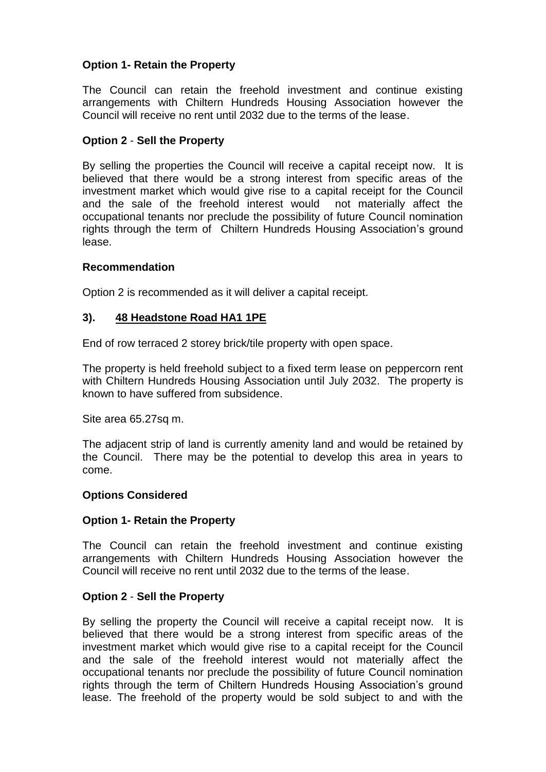#### **Option 1- Retain the Property**

The Council can retain the freehold investment and continue existing arrangements with Chiltern Hundreds Housing Association however the Council will receive no rent until 2032 due to the terms of the lease.

#### **Option 2** - **Sell the Property**

By selling the properties the Council will receive a capital receipt now. It is believed that there would be a strong interest from specific areas of the investment market which would give rise to a capital receipt for the Council and the sale of the freehold interest would not materially affect the occupational tenants nor preclude the possibility of future Council nomination rights through the term of Chiltern Hundreds Housing Association's ground lease.

#### **Recommendation**

Option 2 is recommended as it will deliver a capital receipt.

#### **3). 48 Headstone Road HA1 1PE**

End of row terraced 2 storey brick/tile property with open space.

The property is held freehold subject to a fixed term lease on peppercorn rent with Chiltern Hundreds Housing Association until July 2032. The property is known to have suffered from subsidence.

Site area 65.27sq m.

The adjacent strip of land is currently amenity land and would be retained by the Council. There may be the potential to develop this area in years to come.

#### **Options Considered**

#### **Option 1- Retain the Property**

The Council can retain the freehold investment and continue existing arrangements with Chiltern Hundreds Housing Association however the Council will receive no rent until 2032 due to the terms of the lease.

#### **Option 2** - **Sell the Property**

By selling the property the Council will receive a capital receipt now. It is believed that there would be a strong interest from specific areas of the investment market which would give rise to a capital receipt for the Council and the sale of the freehold interest would not materially affect the occupational tenants nor preclude the possibility of future Council nomination rights through the term of Chiltern Hundreds Housing Association's ground lease. The freehold of the property would be sold subject to and with the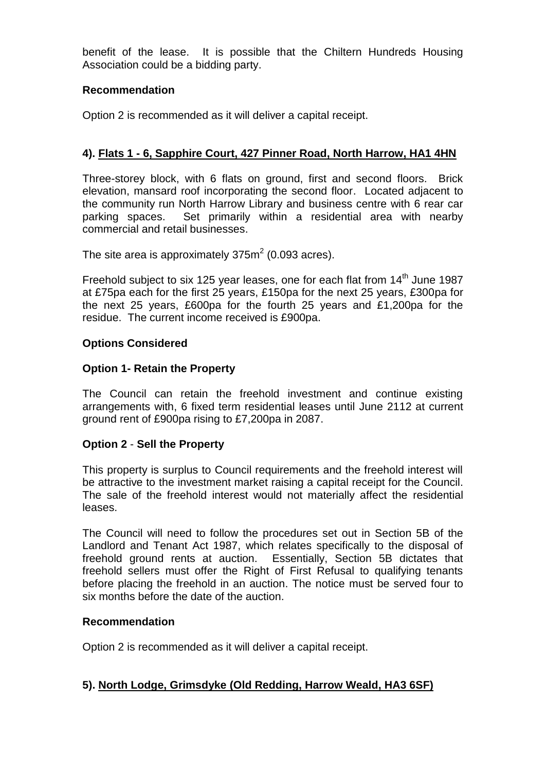benefit of the lease. It is possible that the Chiltern Hundreds Housing Association could be a bidding party.

#### **Recommendation**

Option 2 is recommended as it will deliver a capital receipt.

#### **4). Flats 1 - 6, Sapphire Court, 427 Pinner Road, North Harrow, HA1 4HN**

Three-storey block, with 6 flats on ground, first and second floors. Brick elevation, mansard roof incorporating the second floor. Located adjacent to the community run North Harrow Library and business centre with 6 rear car parking spaces. Set primarily within a residential area with nearby commercial and retail businesses.

The site area is approximately  $375m^2$  (0.093 acres).

Freehold subject to six 125 year leases, one for each flat from 14<sup>th</sup> June 1987 at £75pa each for the first 25 years, £150pa for the next 25 years, £300pa for the next 25 years, £600pa for the fourth 25 years and £1,200pa for the residue. The current income received is £900pa.

#### **Options Considered**

#### **Option 1- Retain the Property**

The Council can retain the freehold investment and continue existing arrangements with, 6 fixed term residential leases until June 2112 at current ground rent of £900pa rising to £7,200pa in 2087.

#### **Option 2** - **Sell the Property**

This property is surplus to Council requirements and the freehold interest will be attractive to the investment market raising a capital receipt for the Council. The sale of the freehold interest would not materially affect the residential leases.

The Council will need to follow the procedures set out in Section 5B of the Landlord and Tenant Act 1987, which relates specifically to the disposal of freehold ground rents at auction. Essentially, Section 5B dictates that freehold sellers must offer the Right of First Refusal to qualifying tenants before placing the freehold in an auction. The notice must be served four to six months before the date of the auction.

#### **Recommendation**

Option 2 is recommended as it will deliver a capital receipt.

#### **5). North Lodge, Grimsdyke (Old Redding, Harrow Weald, HA3 6SF)**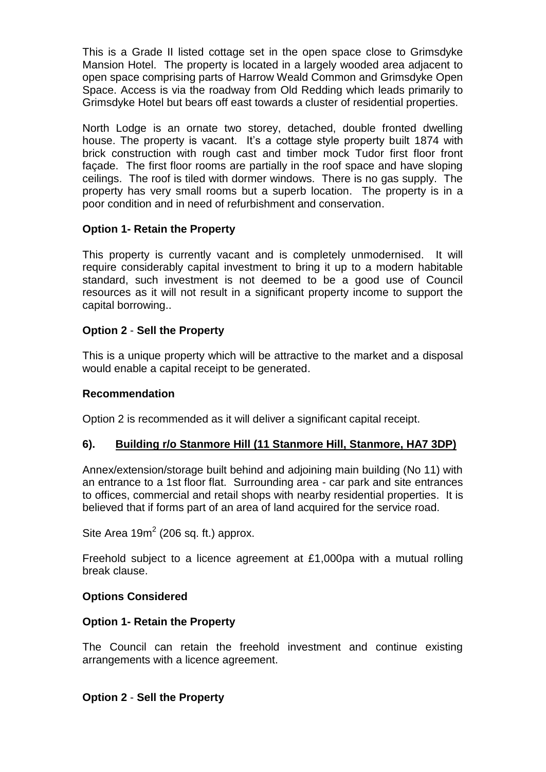This is a Grade II listed cottage set in the open space close to Grimsdyke Mansion Hotel. The property is located in a largely wooded area adjacent to open space comprising parts of Harrow Weald Common and Grimsdyke Open Space. Access is via the roadway from Old Redding which leads primarily to Grimsdyke Hotel but bears off east towards a cluster of residential properties.

North Lodge is an ornate two storey, detached, double fronted dwelling house. The property is vacant. It's a cottage style property built 1874 with brick construction with rough cast and timber mock Tudor first floor front façade. The first floor rooms are partially in the roof space and have sloping ceilings. The roof is tiled with dormer windows. There is no gas supply. The property has very small rooms but a superb location. The property is in a poor condition and in need of refurbishment and conservation.

#### **Option 1- Retain the Property**

This property is currently vacant and is completely unmodernised. It will require considerably capital investment to bring it up to a modern habitable standard, such investment is not deemed to be a good use of Council resources as it will not result in a significant property income to support the capital borrowing..

#### **Option 2** - **Sell the Property**

This is a unique property which will be attractive to the market and a disposal would enable a capital receipt to be generated.

#### **Recommendation**

Option 2 is recommended as it will deliver a significant capital receipt.

#### **6). Building r/o Stanmore Hill (11 Stanmore Hill, Stanmore, HA7 3DP)**

Annex/extension/storage built behind and adjoining main building (No 11) with an entrance to a 1st floor flat. Surrounding area - car park and site entrances to offices, commercial and retail shops with nearby residential properties. It is believed that if forms part of an area of land acquired for the service road.

Site Area  $19m^2$  (206 sq. ft.) approx.

Freehold subject to a licence agreement at £1,000pa with a mutual rolling break clause.

#### **Options Considered**

#### **Option 1- Retain the Property**

The Council can retain the freehold investment and continue existing arrangements with a licence agreement.

#### **Option 2** - **Sell the Property**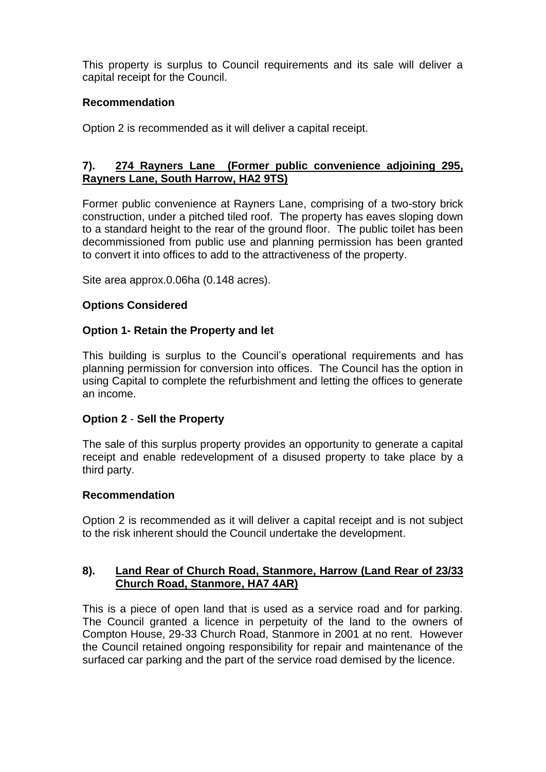This property is surplus to Council requirements and its sale will deliver a capital receipt for the Council.

#### **Recommendation**

Option 2 is recommended as it will deliver a capital receipt.

#### **7). 274 Rayners Lane (Former public convenience adjoining 295, Rayners Lane, South Harrow, HA2 9TS)**

Former public convenience at Rayners Lane, comprising of a two-story brick construction, under a pitched tiled roof. The property has eaves sloping down to a standard height to the rear of the ground floor. The public toilet has been decommissioned from public use and planning permission has been granted to convert it into offices to add to the attractiveness of the property.

Site area approx.0.06ha (0.148 acres).

#### **Options Considered**

#### **Option 1- Retain the Property and let**

This building is surplus to the Council's operational requirements and has planning permission for conversion into offices. The Council has the option in using Capital to complete the refurbishment and letting the offices to generate an income.

#### **Option 2** - **Sell the Property**

The sale of this surplus property provides an opportunity to generate a capital receipt and enable redevelopment of a disused property to take place by a third party.

#### **Recommendation**

Option 2 is recommended as it will deliver a capital receipt and is not subject to the risk inherent should the Council undertake the development.

#### **8). Land Rear of Church Road, Stanmore, Harrow (Land Rear of 23/33 Church Road, Stanmore, HA7 4AR)**

This is a piece of open land that is used as a service road and for parking. The Council granted a licence in perpetuity of the land to the owners of Compton House, 29-33 Church Road, Stanmore in 2001 at no rent. However the Council retained ongoing responsibility for repair and maintenance of the surfaced car parking and the part of the service road demised by the licence.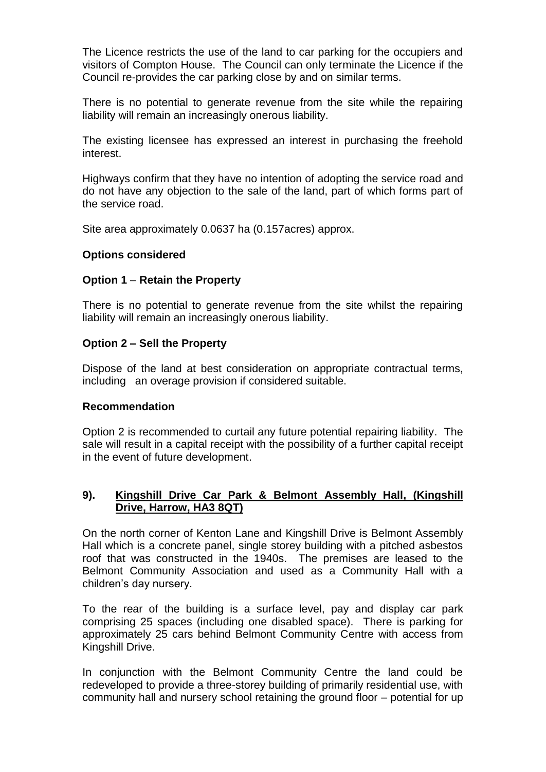The Licence restricts the use of the land to car parking for the occupiers and visitors of Compton House. The Council can only terminate the Licence if the Council re-provides the car parking close by and on similar terms.

There is no potential to generate revenue from the site while the repairing liability will remain an increasingly onerous liability.

The existing licensee has expressed an interest in purchasing the freehold interest.

Highways confirm that they have no intention of adopting the service road and do not have any objection to the sale of the land, part of which forms part of the service road.

Site area approximately 0.0637 ha (0.157acres) approx.

#### **Options considered**

#### **Option 1** – **Retain the Property**

There is no potential to generate revenue from the site whilst the repairing liability will remain an increasingly onerous liability.

#### **Option 2 – Sell the Property**

Dispose of the land at best consideration on appropriate contractual terms, including an overage provision if considered suitable.

#### **Recommendation**

Option 2 is recommended to curtail any future potential repairing liability. The sale will result in a capital receipt with the possibility of a further capital receipt in the event of future development.

#### **9). Kingshill Drive Car Park & Belmont Assembly Hall, (Kingshill Drive, Harrow, HA3 8QT)**

On the north corner of Kenton Lane and Kingshill Drive is Belmont Assembly Hall which is a concrete panel, single storey building with a pitched asbestos roof that was constructed in the 1940s. The premises are leased to the Belmont Community Association and used as a Community Hall with a children's day nursery.

To the rear of the building is a surface level, pay and display car park comprising 25 spaces (including one disabled space). There is parking for approximately 25 cars behind Belmont Community Centre with access from Kingshill Drive.

In conjunction with the Belmont Community Centre the land could be redeveloped to provide a three-storey building of primarily residential use, with community hall and nursery school retaining the ground floor – potential for up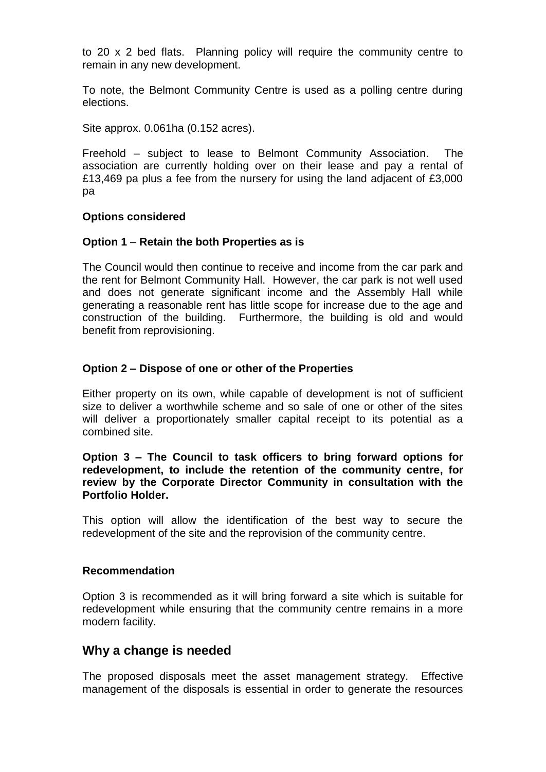to 20 x 2 bed flats. Planning policy will require the community centre to remain in any new development.

To note, the Belmont Community Centre is used as a polling centre during elections.

Site approx. 0.061ha (0.152 acres).

Freehold – subject to lease to Belmont Community Association. The association are currently holding over on their lease and pay a rental of £13,469 pa plus a fee from the nursery for using the land adjacent of £3,000 pa

#### **Options considered**

#### **Option 1** – **Retain the both Properties as is**

The Council would then continue to receive and income from the car park and the rent for Belmont Community Hall. However, the car park is not well used and does not generate significant income and the Assembly Hall while generating a reasonable rent has little scope for increase due to the age and construction of the building. Furthermore, the building is old and would benefit from reprovisioning.

#### **Option 2 – Dispose of one or other of the Properties**

Either property on its own, while capable of development is not of sufficient size to deliver a worthwhile scheme and so sale of one or other of the sites will deliver a proportionately smaller capital receipt to its potential as a combined site.

#### **Option 3 – The Council to task officers to bring forward options for redevelopment, to include the retention of the community centre, for review by the Corporate Director Community in consultation with the Portfolio Holder.**

This option will allow the identification of the best way to secure the redevelopment of the site and the reprovision of the community centre.

#### **Recommendation**

Option 3 is recommended as it will bring forward a site which is suitable for redevelopment while ensuring that the community centre remains in a more modern facility.

#### **Why a change is needed**

The proposed disposals meet the asset management strategy. Effective management of the disposals is essential in order to generate the resources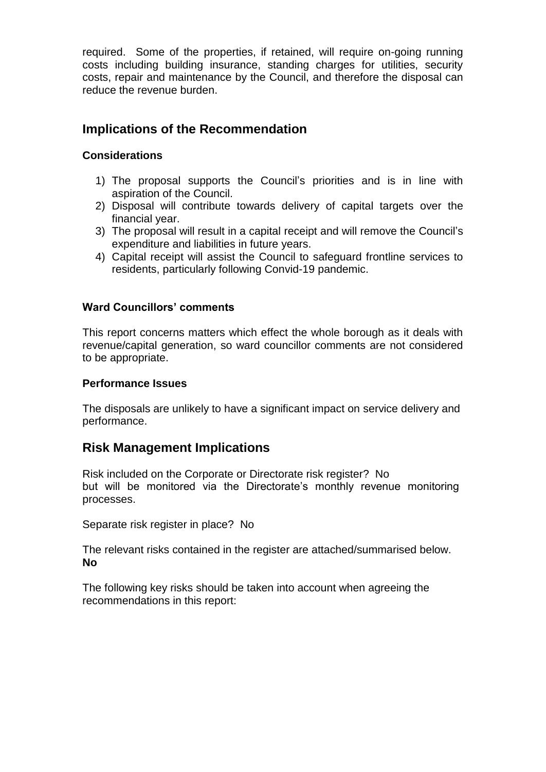required. Some of the properties, if retained, will require on-going running costs including building insurance, standing charges for utilities, security costs, repair and maintenance by the Council, and therefore the disposal can reduce the revenue burden.

### **Implications of the Recommendation**

#### **Considerations**

- 1) The proposal supports the Council's priorities and is in line with aspiration of the Council.
- 2) Disposal will contribute towards delivery of capital targets over the financial year.
- 3) The proposal will result in a capital receipt and will remove the Council's expenditure and liabilities in future years.
- 4) Capital receipt will assist the Council to safeguard frontline services to residents, particularly following Convid-19 pandemic.

#### **Ward Councillors' comments**

This report concerns matters which effect the whole borough as it deals with revenue/capital generation, so ward councillor comments are not considered to be appropriate.

#### **Performance Issues**

The disposals are unlikely to have a significant impact on service delivery and performance.

#### **Risk Management Implications**

Risk included on the Corporate or Directorate risk register? No but will be monitored via the Directorate's monthly revenue monitoring processes.

Separate risk register in place? No

The relevant risks contained in the register are attached/summarised below. **No**

The following key risks should be taken into account when agreeing the recommendations in this report: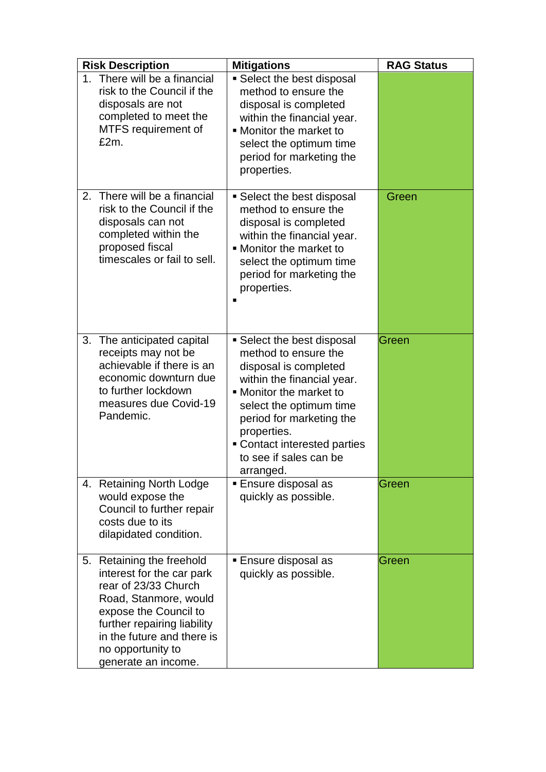|    | <b>Risk Description</b>                                                                                                                                                                                                                   | <b>Mitigations</b>                                                                                                                                                                                                                                                                | <b>RAG Status</b> |
|----|-------------------------------------------------------------------------------------------------------------------------------------------------------------------------------------------------------------------------------------------|-----------------------------------------------------------------------------------------------------------------------------------------------------------------------------------------------------------------------------------------------------------------------------------|-------------------|
|    | 1. There will be a financial<br>risk to the Council if the<br>disposals are not<br>completed to meet the<br>MTFS requirement of<br>£2m.                                                                                                   | • Select the best disposal<br>method to ensure the<br>disposal is completed<br>within the financial year.<br>• Monitor the market to<br>select the optimum time<br>period for marketing the<br>properties.                                                                        |                   |
| 2. | There will be a financial<br>risk to the Council if the<br>disposals can not<br>completed within the<br>proposed fiscal<br>timescales or fail to sell.                                                                                    | • Select the best disposal<br>method to ensure the<br>disposal is completed<br>within the financial year.<br>• Monitor the market to<br>select the optimum time<br>period for marketing the<br>properties.                                                                        | Green             |
|    | 3. The anticipated capital<br>receipts may not be<br>achievable if there is an<br>economic downturn due<br>to further lockdown<br>measures due Covid-19<br>Pandemic.                                                                      | • Select the best disposal<br>method to ensure the<br>disposal is completed<br>within the financial year.<br>• Monitor the market to<br>select the optimum time<br>period for marketing the<br>properties.<br>• Contact interested parties<br>to see if sales can be<br>arranged. | Green             |
|    | 4. Retaining North Lodge<br>would expose the<br>Council to further repair<br>costs due to its<br>dilapidated condition.                                                                                                                   | <b>Ensure disposal as</b><br>quickly as possible.                                                                                                                                                                                                                                 | Green             |
|    | 5. Retaining the freehold<br>interest for the car park<br>rear of 23/33 Church<br>Road, Stanmore, would<br>expose the Council to<br>further repairing liability<br>in the future and there is<br>no opportunity to<br>generate an income. | ■ Ensure disposal as<br>quickly as possible.                                                                                                                                                                                                                                      | Green             |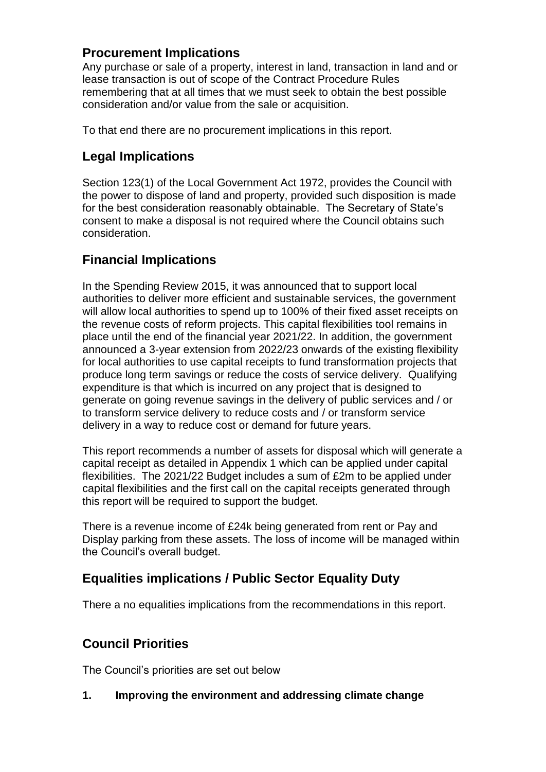### **Procurement Implications**

Any purchase or sale of a property, interest in land, transaction in land and or lease transaction is out of scope of the Contract Procedure Rules remembering that at all times that we must seek to obtain the best possible consideration and/or value from the sale or acquisition.

To that end there are no procurement implications in this report.

# **Legal Implications**

Section 123(1) of the Local Government Act 1972, provides the Council with the power to dispose of land and property, provided such disposition is made for the best consideration reasonably obtainable. The Secretary of State's consent to make a disposal is not required where the Council obtains such consideration.

# **Financial Implications**

In the Spending Review 2015, it was announced that to support local authorities to deliver more efficient and sustainable services, the government will allow local authorities to spend up to 100% of their fixed asset receipts on the revenue costs of reform projects. This capital flexibilities tool remains in place until the end of the financial year 2021/22. In addition, the government announced a 3-year extension from 2022/23 onwards of the existing flexibility for local authorities to use capital receipts to fund transformation projects that produce long term savings or reduce the costs of service delivery. Qualifying expenditure is that which is incurred on any project that is designed to generate on going revenue savings in the delivery of public services and / or to transform service delivery to reduce costs and / or transform service delivery in a way to reduce cost or demand for future years.

This report recommends a number of assets for disposal which will generate a capital receipt as detailed in Appendix 1 which can be applied under capital flexibilities. The 2021/22 Budget includes a sum of £2m to be applied under capital flexibilities and the first call on the capital receipts generated through this report will be required to support the budget.

There is a revenue income of £24k being generated from rent or Pay and Display parking from these assets. The loss of income will be managed within the Council's overall budget.

# **Equalities implications / Public Sector Equality Duty**

There a no equalities implications from the recommendations in this report.

# **Council Priorities**

The Council's priorities are set out below

#### **1. Improving the environment and addressing climate change**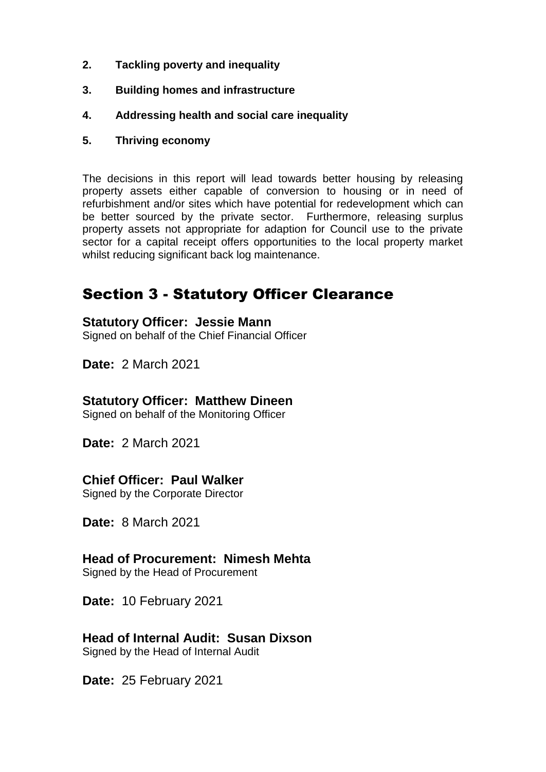- **2. Tackling poverty and inequality**
- **3. Building homes and infrastructure**
- **4. Addressing health and social care inequality**
- **5. Thriving economy**

The decisions in this report will lead towards better housing by releasing property assets either capable of conversion to housing or in need of refurbishment and/or sites which have potential for redevelopment which can be better sourced by the private sector. Furthermore, releasing surplus property assets not appropriate for adaption for Council use to the private sector for a capital receipt offers opportunities to the local property market whilst reducing significant back log maintenance.

# Section 3 - Statutory Officer Clearance

### **Statutory Officer: Jessie Mann**

Signed on behalf of the Chief Financial Officer

**Date:** 2 March 2021

## **Statutory Officer: Matthew Dineen**

Signed on behalf of the Monitoring Officer

**Date:** 2 March 2021

## **Chief Officer: Paul Walker**

Signed by the Corporate Director

**Date:** 8 March 2021

# **Head of Procurement: Nimesh Mehta**

Signed by the Head of Procurement

**Date:** 10 February 2021

# **Head of Internal Audit: Susan Dixson**

Signed by the Head of Internal Audit

**Date:** 25 February 2021